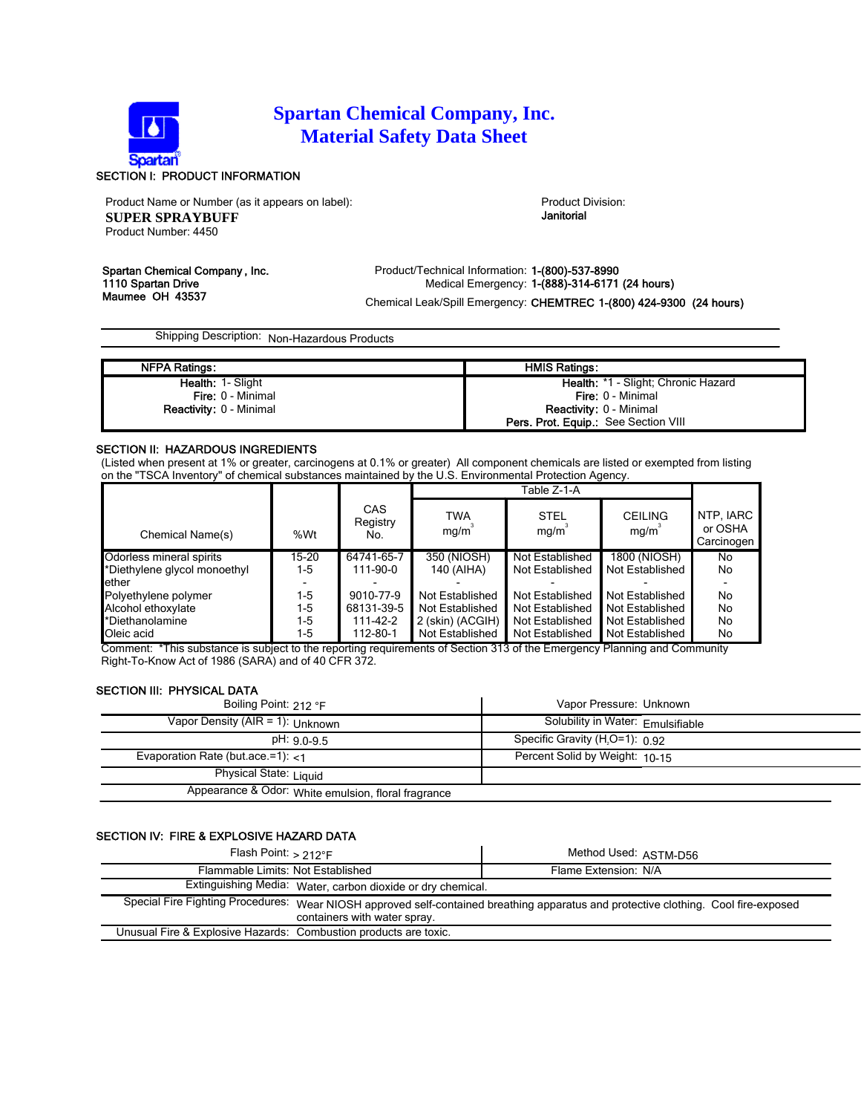

# **Spartan Chemical Company, Inc. Material Safety Data Sheet**

## SECTION I: PRODUCT INFORMATION

Product Name or Number (as it appears on label): Product Division: Product Division: **SUPER SPRAYBUFF** Product Number: 4450

Janitorial

Spartan Chemical Company, Inc. <br>Product/Technical Information: 1-(800)-537-8990<br>Medical Emergency: 1-(888)-314-6171 1110 Spartan Drive Medical Emergency: 1-(888)-314-6171 (24 hours)<br>Maumee OH 43537 Maumee OH 43537 Chemical Leak/Spill Emergency: CHEMTREC 1-(800) 424-9300 (24 hours)

Shipping Description: Non-Hazardous Products

| <b>NFPA Ratings:</b>           | <b>HMIS Ratings:</b>                        |
|--------------------------------|---------------------------------------------|
| <b>Health: 1- Slight</b>       | Health: *1 - Slight: Chronic Hazard         |
| <b>Fire: 0 - Minimal</b>       | <b>Fire: 0 - Minimal</b>                    |
| <b>Reactivity: 0 - Minimal</b> | <b>Reactivity: 0 - Minimal</b>              |
|                                | <b>Pers. Prot. Equip.:</b> See Section VIII |

### SECTION II: HAZARDOUS INGREDIENTS

(Listed when present at 1% or greater, carcinogens at 0.1% or greater) All component chemicals are listed or exempted from listing on the "TSCA Inventory" of chemical substances maintained by the U.S. Environmental Protection Agency.

|                              |       |                               | Table Z-1-A                                                                                                                     |                     |                                              |                                    |
|------------------------------|-------|-------------------------------|---------------------------------------------------------------------------------------------------------------------------------|---------------------|----------------------------------------------|------------------------------------|
| Chemical Name(s)             | %Wt   | <b>CAS</b><br>Registry<br>No. | <b>TWA</b><br>mq/m                                                                                                              | <b>STEL</b><br>mq/m | <b>CEILING</b><br>mq/m                       | NTP, IARC<br>or OSHA<br>Carcinogen |
| Odorless mineral spirits     | 15-20 | 64741-65-7                    | 350 (NIOSH)                                                                                                                     | Not Established     | 1800 (NIOSH)                                 | No                                 |
| *Diethylene glycol monoethyl | $1-5$ | 111-90-0                      | 140 (AIHA)                                                                                                                      | Not Established     | Not Established                              | No                                 |
| lether                       |       |                               |                                                                                                                                 |                     |                                              |                                    |
| Polyethylene polymer         | $1-5$ | 9010-77-9                     | Not Established                                                                                                                 | Not Established     | Not Established                              | No                                 |
| Alcohol ethoxylate           | $1-5$ | 68131-39-5                    | Not Established                                                                                                                 | Not Established     | Not Established                              | No                                 |
| *Diethanolamine              | $1-5$ | 111-42-2                      | 2 (skin) (ACGIH)                                                                                                                | Not Established     | Not Established                              | No                                 |
| Oleic acid                   | $1-5$ | 112-80-1                      | Not Established<br>$\mathcal{L}$ . The state of $\mathcal{L}$ and $\mathcal{L}$ and $\mathcal{L}$ is the state of $\mathcal{L}$ | Not Established     | Not Established<br>$\mathbf{D}$ $\mathbf{D}$ | No                                 |

Comment: \*This substance is subject to the reporting requirements of Section 313 of the Emergency Planning and Community Right-To-Know Act of 1986 (SARA) and of 40 CFR 372.

#### SECTION III: PHYSICAL DATA

| Boiling Point: 212 °F                               | Vapor Pressure: Unknown                     |
|-----------------------------------------------------|---------------------------------------------|
| Vapor Density (AIR = 1): Unknown                    | Solubility in Water: Emulsifiable           |
| $pH: 90-95$                                         | Specific Gravity (H <sub>2</sub> O=1): 0.92 |
| Evaporation Rate (but.ace.=1): $<$ 1                | Percent Solid by Weight: 10-15              |
| Physical State: Liquid                              |                                             |
| Appearance & Odor: White emulsion, floral fragrance |                                             |

# SECTION IV: FIRE & EXPLOSIVE HAZARD DATA

| Flash Point: $> 212^\circ F$                                                                                                                                        | Method Used: ASTM-D56 |  |
|---------------------------------------------------------------------------------------------------------------------------------------------------------------------|-----------------------|--|
| Flammable Limits: Not Established                                                                                                                                   | Flame Extension: N/A  |  |
| Extinguishing Media: Water, carbon dioxide or dry chemical.                                                                                                         |                       |  |
| Special Fire Fighting Procedures: Wear NIOSH approved self-contained breathing apparatus and protective clothing. Cool fire-exposed<br>containers with water spray. |                       |  |
| Unusual Fire & Explosive Hazards: Combustion products are toxic.                                                                                                    |                       |  |